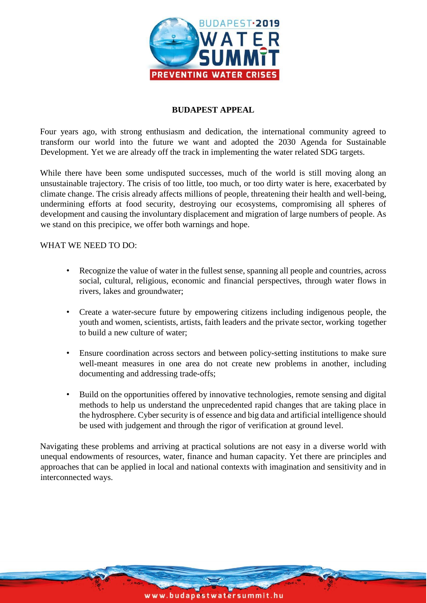

#### **BUDAPEST APPEAL**

Four years ago, with strong enthusiasm and dedication, the international community agreed to transform our world into the future we want and adopted the 2030 Agenda for Sustainable Development. Yet we are already off the track in implementing the water related SDG targets.

While there have been some undisputed successes, much of the world is still moving along an unsustainable trajectory. The crisis of too little, too much, or too dirty water is here, exacerbated by climate change. The crisis already affects millions of people, threatening their health and well-being, undermining efforts at food security, destroying our ecosystems, compromising all spheres of development and causing the involuntary displacement and migration of large numbers of people. As we stand on this precipice, we offer both warnings and hope.

#### WHAT WE NEED TO DO:

- Recognize the value of water in the fullest sense, spanning all people and countries, across social, cultural, religious, economic and financial perspectives, through water flows in rivers, lakes and groundwater;
- Create a water-secure future by empowering citizens including indigenous people, the youth and women, scientists, artists, faith leaders and the private sector, working together to build a new culture of water;
- Ensure coordination across sectors and between policy-setting institutions to make sure well-meant measures in one area do not create new problems in another, including documenting and addressing trade-offs;
- Build on the opportunities offered by innovative technologies, remote sensing and digital methods to help us understand the unprecedented rapid changes that are taking place in the hydrosphere. Cyber security is of essence and big data and artificial intelligence should be used with judgement and through the rigor of verification at ground level.

Navigating these problems and arriving at practical solutions are not easy in a diverse world with unequal endowments of resources, water, finance and human capacity. Yet there are principles and approaches that can be applied in local and national contexts with imagination and sensitivity and in interconnected ways.